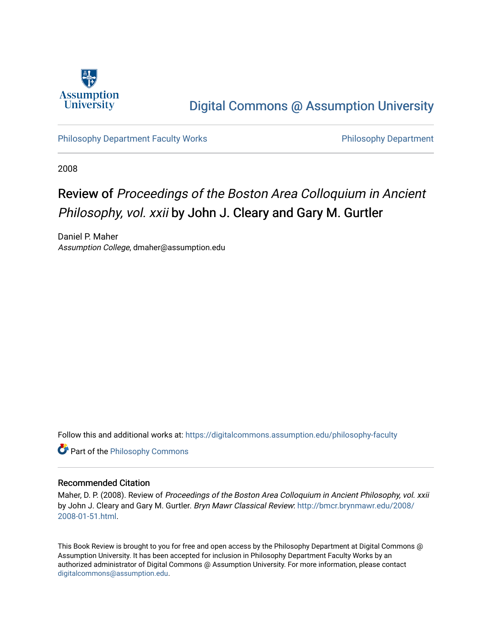

# [Digital Commons @ Assumption University](https://digitalcommons.assumption.edu/)

[Philosophy Department Faculty Works](https://digitalcommons.assumption.edu/philosophy-faculty) **Philosophy Department** Philosophy Department

2008

# Review of Proceedings of the Boston Area Colloquium in Ancient Philosophy, vol. xxii by John J. Cleary and Gary M. Gurtler

Daniel P. Maher Assumption College, dmaher@assumption.edu

Follow this and additional works at: [https://digitalcommons.assumption.edu/philosophy-faculty](https://digitalcommons.assumption.edu/philosophy-faculty?utm_source=digitalcommons.assumption.edu%2Fphilosophy-faculty%2F17&utm_medium=PDF&utm_campaign=PDFCoverPages) 

**Part of the Philosophy Commons** 

#### Recommended Citation

Maher, D. P. (2008). Review of Proceedings of the Boston Area Colloquium in Ancient Philosophy, vol. xxii by John J. Cleary and Gary M. Gurtler. Bryn Mawr Classical Review: [http://bmcr.brynmawr.edu/2008/](http://bmcr.brynmawr.edu/2008/2008-01-51.html) [2008-01-51.html](http://bmcr.brynmawr.edu/2008/2008-01-51.html).

This Book Review is brought to you for free and open access by the Philosophy Department at Digital Commons @ Assumption University. It has been accepted for inclusion in Philosophy Department Faculty Works by an authorized administrator of Digital Commons @ Assumption University. For more information, please contact [digitalcommons@assumption.edu](mailto:digitalcommons@assumption.edu).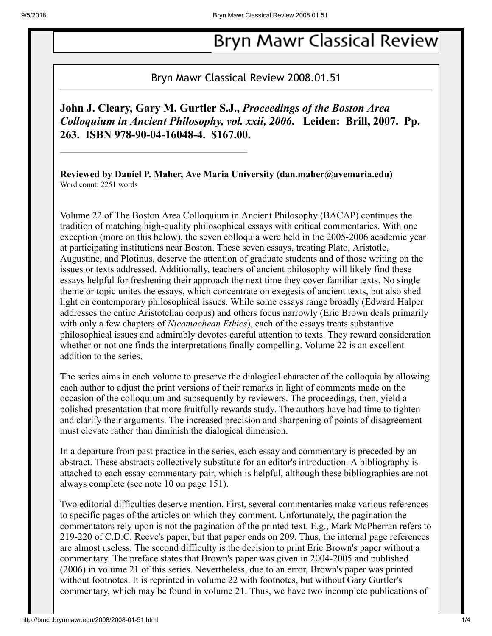# **Bryn Mawr Classical Review**

## Bryn Mawr Classical Review 2008.01.51

**John J. Cleary, Gary M. Gurtler S.J.,** *Proceedings of the Boston Area Colloquium in Ancient Philosophy, vol. xxii, 2006***. Leiden: Brill, 2007. Pp. 263. ISBN 978-90-04-16048-4. \$167.00.**

**Reviewed by Daniel P. Maher, Ave Maria University (dan.maher@avemaria.edu)** Word count: 2251 words

Volume 22 of The Boston Area Colloquium in Ancient Philosophy (BACAP) continues the tradition of matching high-quality philosophical essays with critical commentaries. With one exception (more on this below), the seven colloquia were held in the 2005-2006 academic year at participating institutions near Boston. These seven essays, treating Plato, Aristotle, Augustine, and Plotinus, deserve the attention of graduate students and of those writing on the issues or texts addressed. Additionally, teachers of ancient philosophy will likely find these essays helpful for freshening their approach the next time they cover familiar texts. No single theme or topic unites the essays, which concentrate on exegesis of ancient texts, but also shed light on contemporary philosophical issues. While some essays range broadly (Edward Halper addresses the entire Aristotelian corpus) and others focus narrowly (Eric Brown deals primarily with only a few chapters of *Nicomachean Ethics*), each of the essays treats substantive philosophical issues and admirably devotes careful attention to texts. They reward consideration whether or not one finds the interpretations finally compelling. Volume 22 is an excellent addition to the series.

The series aims in each volume to preserve the dialogical character of the colloquia by allowing each author to adjust the print versions of their remarks in light of comments made on the occasion of the colloquium and subsequently by reviewers. The proceedings, then, yield a polished presentation that more fruitfully rewards study. The authors have had time to tighten and clarify their arguments. The increased precision and sharpening of points of disagreement must elevate rather than diminish the dialogical dimension.

In a departure from past practice in the series, each essay and commentary is preceded by an abstract. These abstracts collectively substitute for an editor's introduction. A bibliography is attached to each essay-commentary pair, which is helpful, although these bibliographies are not always complete (see note 10 on page 151).

Two editorial difficulties deserve mention. First, several commentaries make various references to specific pages of the articles on which they comment. Unfortunately, the pagination the commentators rely upon is not the pagination of the printed text. E.g., Mark McPherran refers to 219-220 of C.D.C. Reeve's paper, but that paper ends on 209. Thus, the internal page references are almost useless. The second difficulty is the decision to print Eric Brown's paper without a commentary. The preface states that Brown's paper was given in 2004-2005 and published (2006) in volume 21 of this series. Nevertheless, due to an error, Brown's paper was printed without footnotes. It is reprinted in volume 22 with footnotes, but without Gary Gurtler's commentary, which may be found in volume 21. Thus, we have two incomplete publications of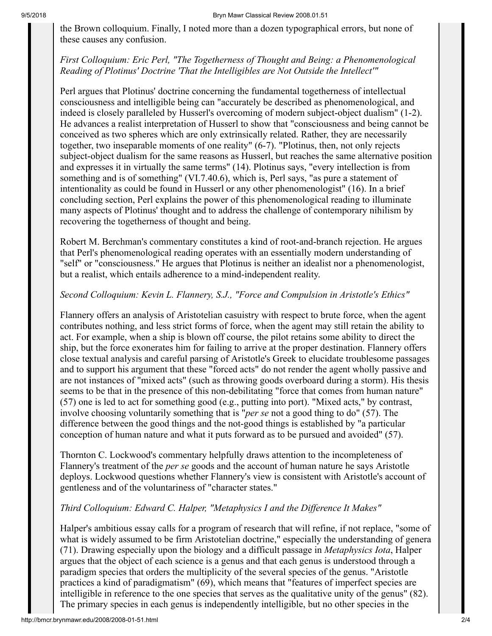the Brown colloquium. Finally, I noted more than a dozen typographical errors, but none of these causes any confusion.

## *First Colloquium: Eric Perl, "The Togetherness of Thought and Being: a Phenomenological Reading of Plotinus' Doctrine 'That the Intelligibles are Not Outside the Intellect'"*

Perl argues that Plotinus' doctrine concerning the fundamental togetherness of intellectual consciousness and intelligible being can "accurately be described as phenomenological, and indeed is closely paralleled by Husserl's overcoming of modern subject-object dualism" (1-2). He advances a realist interpretation of Husserl to show that "consciousness and being cannot be conceived as two spheres which are only extrinsically related. Rather, they are necessarily together, two inseparable moments of one reality" (6-7). "Plotinus, then, not only rejects subject-object dualism for the same reasons as Husserl, but reaches the same alternative position and expresses it in virtually the same terms" (14). Plotinus says, "every intellection is from something and is of something" (VI.7.40.6), which is, Perl says, "as pure a statement of intentionality as could be found in Husserl or any other phenomenologist" (16). In a brief concluding section, Perl explains the power of this phenomenological reading to illuminate many aspects of Plotinus' thought and to address the challenge of contemporary nihilism by recovering the togetherness of thought and being.

Robert M. Berchman's commentary constitutes a kind of root-and-branch rejection. He argues that Perl's phenomenological reading operates with an essentially modern understanding of "self" or "consciousness." He argues that Plotinus is neither an idealist nor a phenomenologist, but a realist, which entails adherence to a mind-independent reality.

## *Second Colloquium: Kevin L. Flannery, S.J., "Force and Compulsion in Aristotle's Ethics"*

Flannery offers an analysis of Aristotelian casuistry with respect to brute force, when the agent contributes nothing, and less strict forms of force, when the agent may still retain the ability to act. For example, when a ship is blown off course, the pilot retains some ability to direct the ship, but the force exonerates him for failing to arrive at the proper destination. Flannery offers close textual analysis and careful parsing of Aristotle's Greek to elucidate troublesome passages and to support his argument that these "forced acts" do not render the agent wholly passive and are not instances of "mixed acts" (such as throwing goods overboard during a storm). His thesis seems to be that in the presence of this non-debilitating "force that comes from human nature" (57) one is led to act for something good (e.g., putting into port). "Mixed acts," by contrast, involve choosing voluntarily something that is "*per se* not a good thing to do" (57). The difference between the good things and the not-good things is established by "a particular conception of human nature and what it puts forward as to be pursued and avoided" (57).

Thornton C. Lockwood's commentary helpfully draws attention to the incompleteness of Flannery's treatment of the *per se* goods and the account of human nature he says Aristotle deploys. Lockwood questions whether Flannery's view is consistent with Aristotle's account of gentleness and of the voluntariness of "character states."

## *Third Colloquium: Edward C. Halper, "Metaphysics I and the Difference It Makes"*

Halper's ambitious essay calls for a program of research that will refine, if not replace, "some of what is widely assumed to be firm Aristotelian doctrine," especially the understanding of genera (71). Drawing especially upon the biology and a difficult passage in *Metaphysics Iota*, Halper argues that the object of each science is a genus and that each genus is understood through a paradigm species that orders the multiplicity of the several species of the genus. "Aristotle practices a kind of paradigmatism" (69), which means that "features of imperfect species are intelligible in reference to the one species that serves as the qualitative unity of the genus" (82). The primary species in each genus is independently intelligible, but no other species in the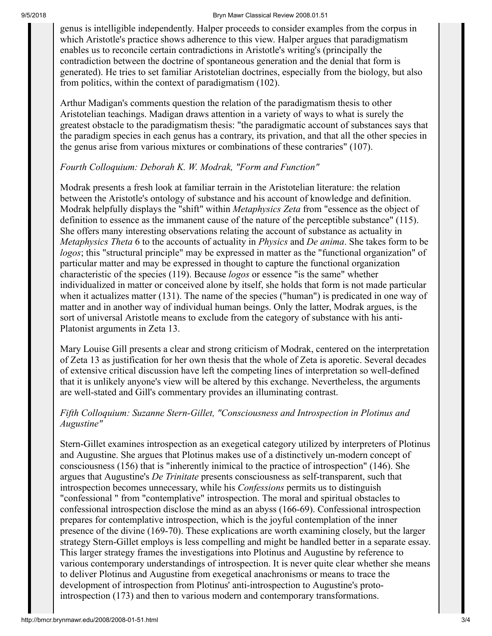#### 9/5/2018 Bryn Mawr Classical Review 2008.01.51

genus is intelligible independently. Halper proceeds to consider examples from the corpus in which Aristotle's practice shows adherence to this view. Halper argues that paradigmatism enables us to reconcile certain contradictions in Aristotle's writing's (principally the contradiction between the doctrine of spontaneous generation and the denial that form is generated). He tries to set familiar Aristotelian doctrines, especially from the biology, but also from politics, within the context of paradigmatism (102).

Arthur Madigan's comments question the relation of the paradigmatism thesis to other Aristotelian teachings. Madigan draws attention in a variety of ways to what is surely the greatest obstacle to the paradigmatism thesis: "the paradigmatic account of substances says that the paradigm species in each genus has a contrary, its privation, and that all the other species in the genus arise from various mixtures or combinations of these contraries" (107).

#### *Fourth Colloquium: Deborah K. W. Modrak, "Form and Function"*

Modrak presents a fresh look at familiar terrain in the Aristotelian literature: the relation between the Aristotle's ontology of substance and his account of knowledge and definition. Modrak helpfully displays the "shift" within *Metaphysics Zeta* from "essence as the object of definition to essence as the immanent cause of the nature of the perceptible substance" (115). She offers many interesting observations relating the account of substance as actuality in *Metaphysics Theta* 6 to the accounts of actuality in *Physics* and *De anima*. She takes form to be *logos*; this "structural principle" may be expressed in matter as the "functional organization" of particular matter and may be expressed in thought to capture the functional organization characteristic of the species (119). Because *logos* or essence "is the same" whether individualized in matter or conceived alone by itself, she holds that form is not made particular when it actualizes matter (131). The name of the species ("human") is predicated in one way of matter and in another way of individual human beings. Only the latter, Modrak argues, is the sort of universal Aristotle means to exclude from the category of substance with his anti-Platonist arguments in Zeta 13.

Mary Louise Gill presents a clear and strong criticism of Modrak, centered on the interpretation of Zeta 13 as justification for her own thesis that the whole of Zeta is aporetic. Several decades of extensive critical discussion have left the competing lines of interpretation so well-defined that it is unlikely anyone's view will be altered by this exchange. Nevertheless, the arguments are well-stated and Gill's commentary provides an illuminating contrast.

#### *Fifth Colloquium: Suzanne Stern-Gillet, "Consciousness and Introspection in Plotinus and Augustine"*

Stern-Gillet examines introspection as an exegetical category utilized by interpreters of Plotinus and Augustine. She argues that Plotinus makes use of a distinctively un-modern concept of consciousness (156) that is "inherently inimical to the practice of introspection" (146). She argues that Augustine's *De Trinitate* presents consciousness as self-transparent, such that introspection becomes unnecessary, while his *Confessions* permits us to distinguish "confessional " from "contemplative" introspection. The moral and spiritual obstacles to confessional introspection disclose the mind as an abyss (166-69). Confessional introspection prepares for contemplative introspection, which is the joyful contemplation of the inner presence of the divine (169-70). These explications are worth examining closely, but the larger strategy Stern-Gillet employs is less compelling and might be handled better in a separate essay. This larger strategy frames the investigations into Plotinus and Augustine by reference to various contemporary understandings of introspection. It is never quite clear whether she means to deliver Plotinus and Augustine from exegetical anachronisms or means to trace the development of introspection from Plotinus' anti-introspection to Augustine's protointrospection (173) and then to various modern and contemporary transformations.